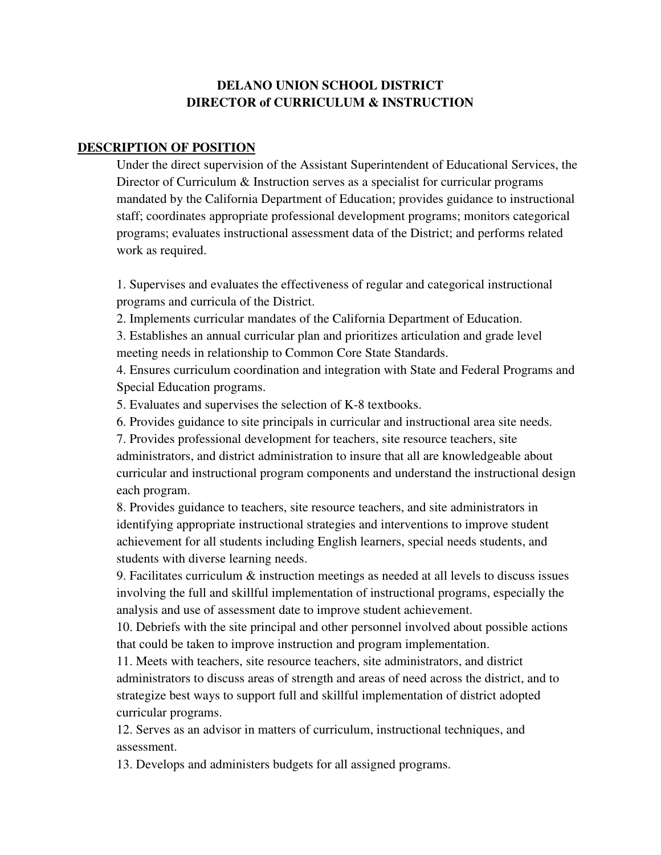## **DELANO UNION SCHOOL DISTRICT DIRECTOR of CURRICULUM & INSTRUCTION**

## **DESCRIPTION OF POSITION**

Under the direct supervision of the Assistant Superintendent of Educational Services, the Director of Curriculum & Instruction serves as a specialist for curricular programs mandated by the California Department of Education; provides guidance to instructional staff; coordinates appropriate professional development programs; monitors categorical programs; evaluates instructional assessment data of the District; and performs related work as required.

 1. Supervises and evaluates the effectiveness of regular and categorical instructional programs and curricula of the District.

2. Implements curricular mandates of the California Department of Education.

3. Establishes an annual curricular plan and prioritizes articulation and grade level meeting needs in relationship to Common Core State Standards.

 4. Ensures curriculum coordination and integration with State and Federal Programs and Special Education programs.

5. Evaluates and supervises the selection of K-8 textbooks.

6. Provides guidance to site principals in curricular and instructional area site needs.

 7. Provides professional development for teachers, site resource teachers, site administrators, and district administration to insure that all are knowledgeable about curricular and instructional program components and understand the instructional design each program.

 8. Provides guidance to teachers, site resource teachers, and site administrators in identifying appropriate instructional strategies and interventions to improve student achievement for all students including English learners, special needs students, and students with diverse learning needs.

 9. Facilitates curriculum & instruction meetings as needed at all levels to discuss issues involving the full and skillful implementation of instructional programs, especially the analysis and use of assessment date to improve student achievement.

 10. Debriefs with the site principal and other personnel involved about possible actions that could be taken to improve instruction and program implementation.

 11. Meets with teachers, site resource teachers, site administrators, and district administrators to discuss areas of strength and areas of need across the district, and to strategize best ways to support full and skillful implementation of district adopted curricular programs.

 12. Serves as an advisor in matters of curriculum, instructional techniques, and assessment.

13. Develops and administers budgets for all assigned programs.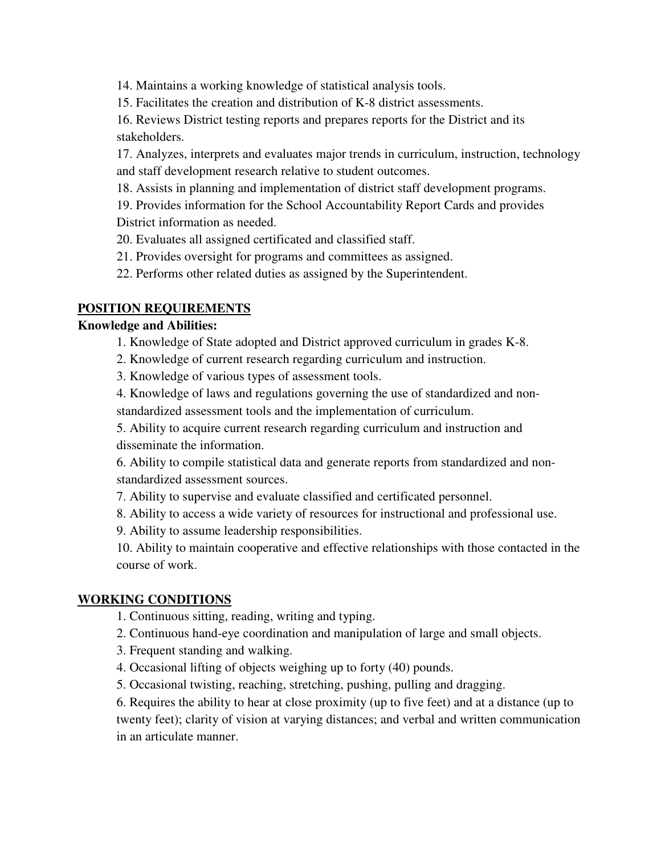14. Maintains a working knowledge of statistical analysis tools.

15. Facilitates the creation and distribution of K-8 district assessments.

 16. Reviews District testing reports and prepares reports for the District and its stakeholders.

 17. Analyzes, interprets and evaluates major trends in curriculum, instruction, technology and staff development research relative to student outcomes.

18. Assists in planning and implementation of district staff development programs.

 19. Provides information for the School Accountability Report Cards and provides District information as needed.

20. Evaluates all assigned certificated and classified staff.

- 21. Provides oversight for programs and committees as assigned.
- 22. Performs other related duties as assigned by the Superintendent.

## **POSITION REQUIREMENTS**

#### **Knowledge and Abilities:**

- 1. Knowledge of State adopted and District approved curriculum in grades K-8.
- 2. Knowledge of current research regarding curriculum and instruction.
- 3. Knowledge of various types of assessment tools.
- 4. Knowledge of laws and regulations governing the use of standardized and non-

standardized assessment tools and the implementation of curriculum.

5. Ability to acquire current research regarding curriculum and instruction and disseminate the information.

6. Ability to compile statistical data and generate reports from standardized and nonstandardized assessment sources.

- 7. Ability to supervise and evaluate classified and certificated personnel.
- 8. Ability to access a wide variety of resources for instructional and professional use.

9. Ability to assume leadership responsibilities.

10. Ability to maintain cooperative and effective relationships with those contacted in the course of work.

#### **WORKING CONDITIONS**

1. Continuous sitting, reading, writing and typing.

2. Continuous hand-eye coordination and manipulation of large and small objects.

- 3. Frequent standing and walking.
- 4. Occasional lifting of objects weighing up to forty (40) pounds.
- 5. Occasional twisting, reaching, stretching, pushing, pulling and dragging.

6. Requires the ability to hear at close proximity (up to five feet) and at a distance (up to twenty feet); clarity of vision at varying distances; and verbal and written communication in an articulate manner.